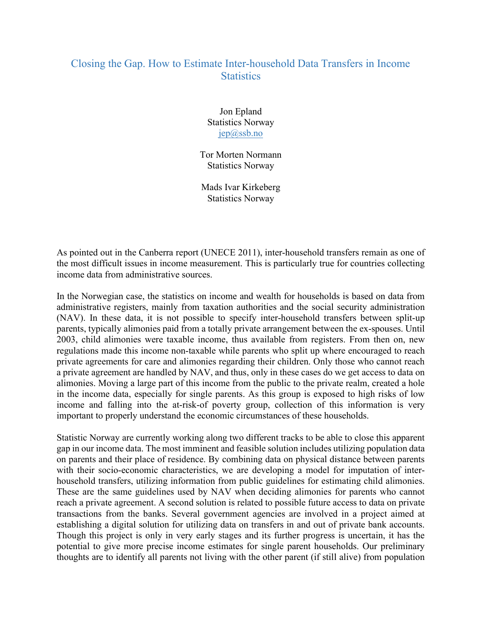## Closing the Gap. How to Estimate Inter-household Data Transfers in Income **Statistics**

Jon Epland Statistics Norway jep@ssb.no

Tor Morten Normann Statistics Norway

Mads Ivar Kirkeberg Statistics Norway

As pointed out in the Canberra report (UNECE 2011), inter-household transfers remain as one of the most difficult issues in income measurement. This is particularly true for countries collecting income data from administrative sources.

In the Norwegian case, the statistics on income and wealth for households is based on data from administrative registers, mainly from taxation authorities and the social security administration (NAV). In these data, it is not possible to specify inter-household transfers between split-up parents, typically alimonies paid from a totally private arrangement between the ex-spouses. Until 2003, child alimonies were taxable income, thus available from registers. From then on, new regulations made this income non-taxable while parents who split up where encouraged to reach private agreements for care and alimonies regarding their children. Only those who cannot reach a private agreement are handled by NAV, and thus, only in these cases do we get access to data on alimonies. Moving a large part of this income from the public to the private realm, created a hole in the income data, especially for single parents. As this group is exposed to high risks of low income and falling into the at-risk-of poverty group, collection of this information is very important to properly understand the economic circumstances of these households.

Statistic Norway are currently working along two different tracks to be able to close this apparent gap in our income data. The most imminent and feasible solution includes utilizing population data on parents and their place of residence. By combining data on physical distance between parents with their socio-economic characteristics, we are developing a model for imputation of interhousehold transfers, utilizing information from public guidelines for estimating child alimonies. These are the same guidelines used by NAV when deciding alimonies for parents who cannot reach a private agreement. A second solution is related to possible future access to data on private transactions from the banks. Several government agencies are involved in a project aimed at establishing a digital solution for utilizing data on transfers in and out of private bank accounts. Though this project is only in very early stages and its further progress is uncertain, it has the potential to give more precise income estimates for single parent households. Our preliminary thoughts are to identify all parents not living with the other parent (if still alive) from population